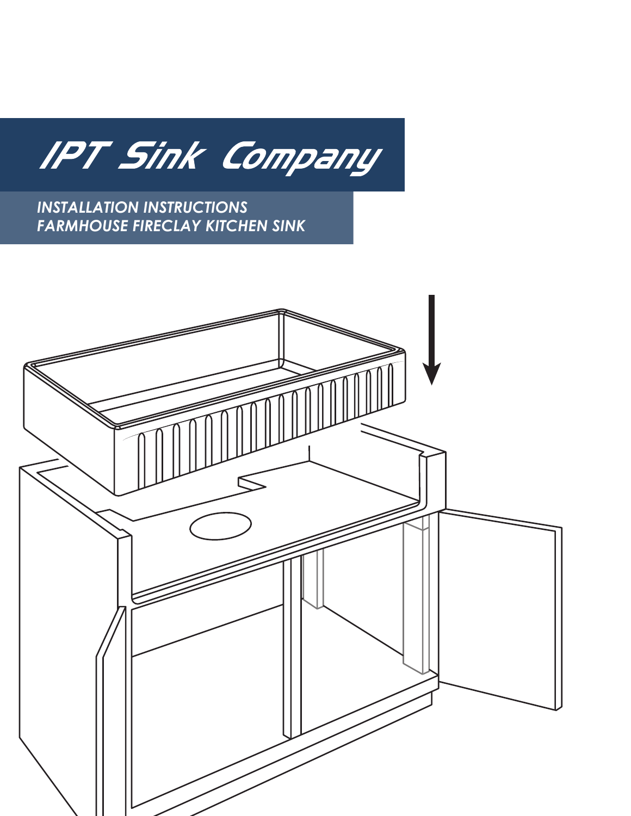

*INSTALLATION INSTRUCTIONS FARMHOUSE FIRECLAY KITCHEN SINK*

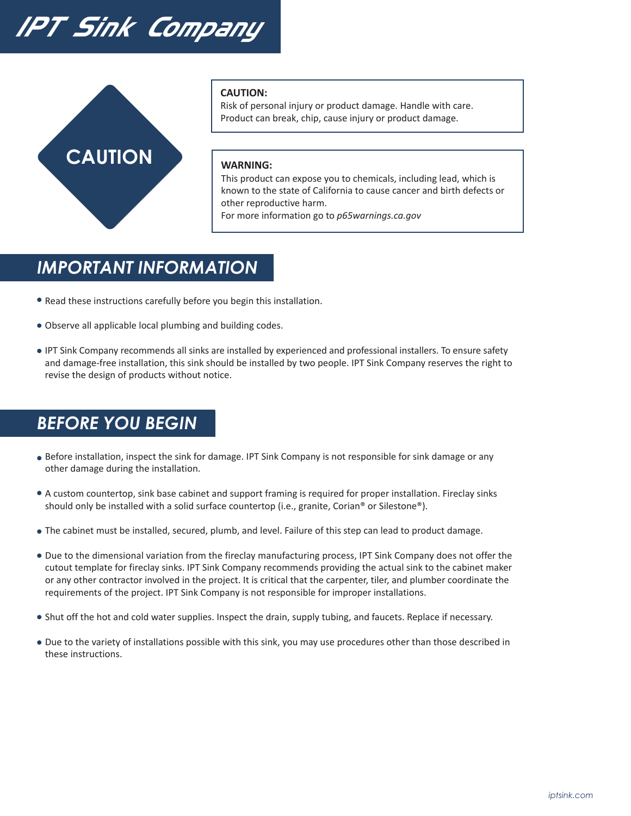# IPT Sink Company



#### **CAUTION:**

Risk of personal injury or product damage. Handle with care. Product can break, chip, cause injury or product damage.

#### **WARNING:**

This product can expose you to chemicals, including lead, which is known to the state of California to cause cancer and birth defects or other reproductive harm.

For more information go to *p65warnings.ca.gov*

#### *IMPORTANT INFORMATION*

- Read these instructions carefully before you begin this installation.
- Observe all applicable local plumbing and building codes.
- IPT Sink Company recommends all sinks are installed by experienced and professional installers. To ensure safety and damage-free installation, this sink should be installed by two people. IPT Sink Company reserves the right to revise the design of products without notice.

## *BEFORE YOU BEGIN*

- Before installation, inspect the sink for damage. IPT Sink Company is not responsible for sink damage or any other damage during the installation.
- A custom countertop, sink base cabinet and support framing is required for proper installation. Fireclay sinks should only be installed with a solid surface countertop (i.e., granite, Corian® or Silestone®).
- The cabinet must be installed, secured, plumb, and level. Failure of this step can lead to product damage.
- Due to the dimensional variation from the fireclay manufacturing process, IPT Sink Company does not offer the cutout template for fireclay sinks. IPT Sink Company recommends providing the actual sink to the cabinet maker or any other contractor involved in the project. It is critical that the carpenter, tiler, and plumber coordinate the requirements of the project. IPT Sink Company is not responsible for improper installations.
- Shut off the hot and cold water supplies. Inspect the drain, supply tubing, and faucets. Replace if necessary.
- Due to the variety of installations possible with this sink, you may use procedures other than those described in these instructions.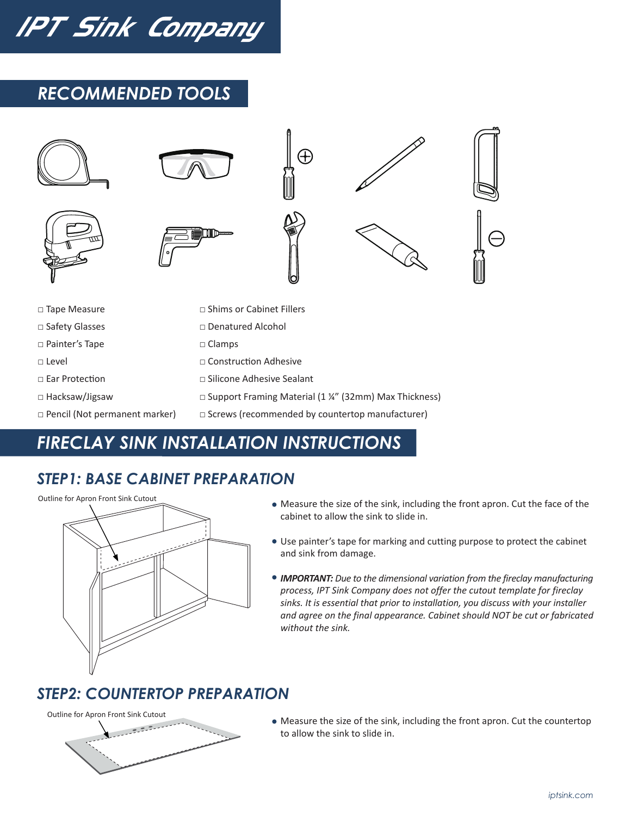IPT Sink Company

## *RECOMMENDED TOOLS*



# *FIRECLAY SINK INSTALLATION INSTRUCTIONS*

## *STEP1: BASE CABINET PREPARATION*



- Measure the size of the sink, including the front apron. Cut the face of the cabinet to allow the sink to slide in.
- Use painter's tape for marking and cutting purpose to protect the cabinet and sink from damage.
- *IMPORTANT: Due to the dimensional variation from the fireclay manufacturing process, IPT Sink Company does not offer the cutout template for fireclay sinks. It is essential that prior to installation, you discuss with your installer and agree on the final appearance. Cabinet should NOT be cut or fabricated without the sink.*

## *STEP2: COUNTERTOP PREPARATION*





Measure the size of the sink, including the front apron. Cut the countertop to allow the sink to slide in.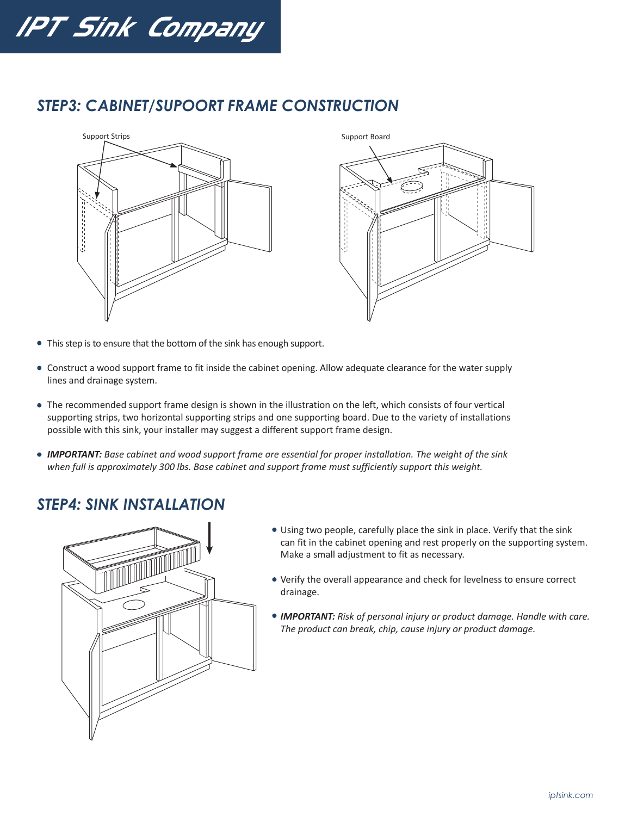

#### *STEP3: CABINET/SUPOORT FRAME CONSTRUCTION*





- This step is to ensure that the bottom of the sink has enough support.
- Construct a wood support frame to fit inside the cabinet opening. Allow adequate clearance for the water supply lines and drainage system.
- The recommended support frame design is shown in the illustration on the left, which consists of four vertical supporting strips, two horizontal supporting strips and one supporting board. Due to the variety of installations possible with this sink, your installer may suggest a different support frame design.
- *IMPORTANT: Base cabinet and wood support frame are essential for proper installation. The weight of the sink when full is approximately 300 lbs. Base cabinet and support frame must sufficiently support this weight.*

#### *STEP4: SINK INSTALLATION*



- Using two people, carefully place the sink in place. Verify that the sink can fit in the cabinet opening and rest properly on the supporting system. Make a small adjustment to fit as necessary.
- Verify the overall appearance and check for levelness to ensure correct drainage.
- *IMPORTANT: Risk of personal injury or product damage. Handle with care. The product can break, chip, cause injury or product damage.*